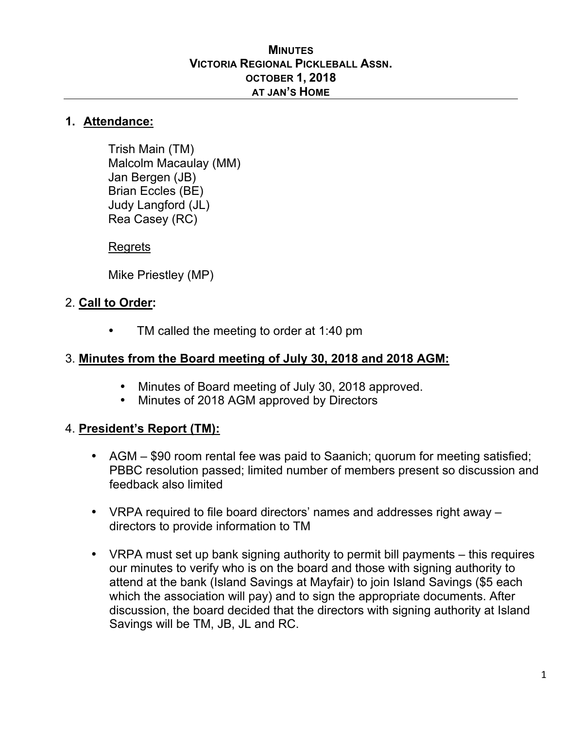#### **MINUTES VICTORIA REGIONAL PICKLEBALL ASSN. OCTOBER 1, 2018 AT JAN'S HOME**

#### **1. Attendance:**

Trish Main (TM) Malcolm Macaulay (MM) Jan Bergen (JB) Brian Eccles (BE) Judy Langford (JL) Rea Casey (RC)

#### Regrets

Mike Priestley (MP)

### 2. **Call to Order:**

TM called the meeting to order at 1:40 pm

### 3. **Minutes from the Board meeting of July 30, 2018 and 2018 AGM:**

- Minutes of Board meeting of July 30, 2018 approved.
- Minutes of 2018 AGM approved by Directors

## 4. **President's Report (TM):**

- AGM \$90 room rental fee was paid to Saanich; quorum for meeting satisfied; PBBC resolution passed; limited number of members present so discussion and feedback also limited
- VRPA required to file board directors' names and addresses right away directors to provide information to TM
- VRPA must set up bank signing authority to permit bill payments this requires our minutes to verify who is on the board and those with signing authority to attend at the bank (Island Savings at Mayfair) to join Island Savings (\$5 each which the association will pay) and to sign the appropriate documents. After discussion, the board decided that the directors with signing authority at Island Savings will be TM, JB, JL and RC.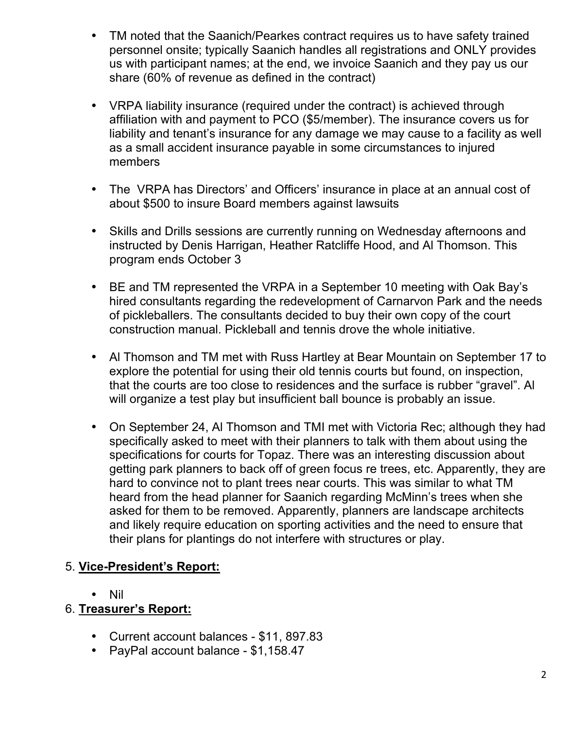- TM noted that the Saanich/Pearkes contract requires us to have safety trained personnel onsite; typically Saanich handles all registrations and ONLY provides us with participant names; at the end, we invoice Saanich and they pay us our share (60% of revenue as defined in the contract)
- VRPA liability insurance (required under the contract) is achieved through affiliation with and payment to PCO (\$5/member). The insurance covers us for liability and tenant's insurance for any damage we may cause to a facility as well as a small accident insurance payable in some circumstances to injured members
- The VRPA has Directors' and Officers' insurance in place at an annual cost of about \$500 to insure Board members against lawsuits
- Skills and Drills sessions are currently running on Wednesday afternoons and instructed by Denis Harrigan, Heather Ratcliffe Hood, and Al Thomson. This program ends October 3
- BE and TM represented the VRPA in a September 10 meeting with Oak Bay's hired consultants regarding the redevelopment of Carnarvon Park and the needs of pickleballers. The consultants decided to buy their own copy of the court construction manual. Pickleball and tennis drove the whole initiative.
- Al Thomson and TM met with Russ Hartley at Bear Mountain on September 17 to explore the potential for using their old tennis courts but found, on inspection, that the courts are too close to residences and the surface is rubber "gravel". Al will organize a test play but insufficient ball bounce is probably an issue.
- On September 24, Al Thomson and TMI met with Victoria Rec; although they had specifically asked to meet with their planners to talk with them about using the specifications for courts for Topaz. There was an interesting discussion about getting park planners to back off of green focus re trees, etc. Apparently, they are hard to convince not to plant trees near courts. This was similar to what TM heard from the head planner for Saanich regarding McMinn's trees when she asked for them to be removed. Apparently, planners are landscape architects and likely require education on sporting activities and the need to ensure that their plans for plantings do not interfere with structures or play.

## 5. **Vice-President's Report:**

• Nil

## 6. **Treasurer's Report:**

- Current account balances \$11, 897.83
- PayPal account balance \$1,158.47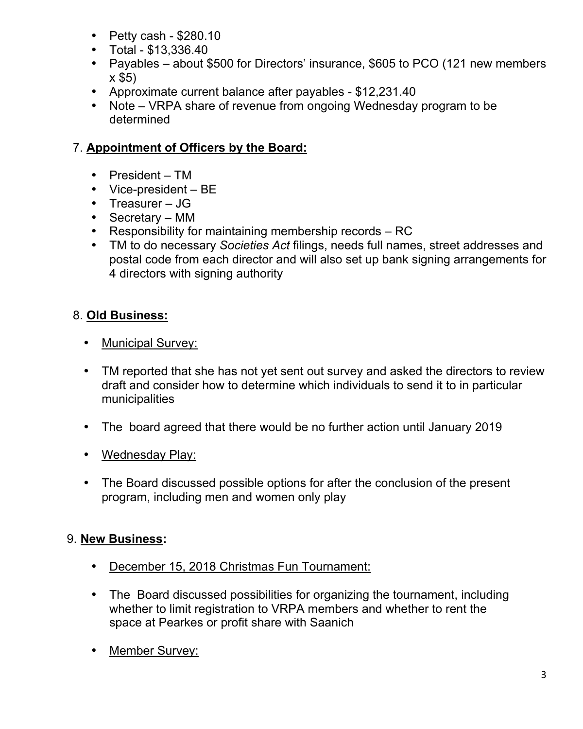- Petty cash \$280.10
- Total \$13,336.40
- Payables about \$500 for Directors' insurance, \$605 to PCO (121 new members x \$5)
- Approximate current balance after payables \$12,231.40
- Note VRPA share of revenue from ongoing Wednesday program to be determined

# 7. **Appointment of Officers by the Board:**

- President TM
- Vice-president BE
- Treasurer JG
- Secretary MM
- Responsibility for maintaining membership records RC
- TM to do necessary *Societies Act* filings, needs full names, street addresses and postal code from each director and will also set up bank signing arrangements for 4 directors with signing authority

# 8. **Old Business:**

- Municipal Survey:
- TM reported that she has not yet sent out survey and asked the directors to review draft and consider how to determine which individuals to send it to in particular municipalities
- The board agreed that there would be no further action until January 2019
- Wednesday Play:
- The Board discussed possible options for after the conclusion of the present program, including men and women only play

## 9. **New Business:**

- December 15, 2018 Christmas Fun Tournament:
- The Board discussed possibilities for organizing the tournament, including whether to limit registration to VRPA members and whether to rent the space at Pearkes or profit share with Saanich
- Member Survey: